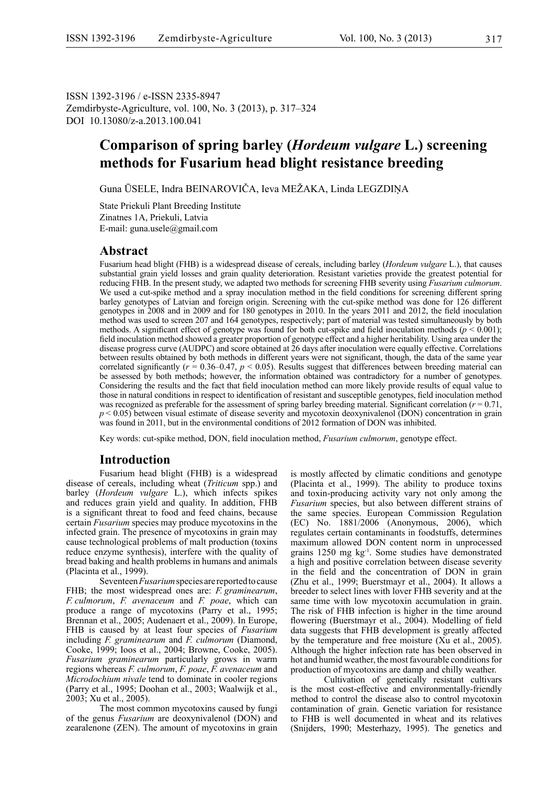ISSN 1392-3196 / e-ISSN 2335-8947 Zemdirbyste-Agriculture, vol. 100, No. 3 (2013), p. 317‒324 DOI 10.13080/z-a.2013.100.041

## **Comparison of spring barley (***Hordeum vulgare* **L.) screening methods for Fusarium head blight resistance breeding**

Guna ŪSELE, Indra BEINAROVIČA, Ieva MEŽAKA, Linda LEGZDIŅA

State Priekuli Plant Breeding Institute Zinatnes 1A, Priekuli, Latvia E-mail: guna.usele@gmail.com

## **Abstract**

Fusarium head blight (FHB) is a widespread disease of cereals, including barley (*Hordeum vulgare* L.), that causes substantial grain yield losses and grain quality deterioration. Resistant varieties provide the greatest potential for reducing FHB. In the present study, we adapted two methods for screening FHB severity using *Fusarium culmorum*. We used a cut-spike method and a spray inoculation method in the field conditions for screening different spring barley genotypes of Latvian and foreign origin. Screening with the cut-spike method was done for 126 different genotypes in 2008 and in 2009 and for 180 genotypes in 2010. In the years 2011 and 2012, the field inoculation method was used to screen 207 and 164 genotypes, respectively; part of material was tested simultaneously by both methods. A significant effect of genotype was found for both cut-spike and field inoculation methods ( $p < 0.001$ ); field inoculation method showed a greater proportion of genotype effect and a higher heritability. Using area under the disease progress curve (AUDPC) and score obtained at 26 days after inoculation were equally effective. Correlations between results obtained by both methods in different years were not significant, though, the data of the same year correlated significantly ( $r = 0.36-0.47$ ,  $p < 0.05$ ). Results suggest that differences between breeding material can be assessed by both methods; however, the information obtained was contradictory for a number of genotypes. Considering the results and the fact that field inoculation method can more likely provide results of equal value to those in natural conditions in respect to identification of resistant and susceptible genotypes, field inoculation method was recognized as preferable for the assessment of spring barley breeding material. Significant correlation ( $r = 0.71$ , *p* < 0.05) between visual estimate of disease severity and mycotoxin deoxynivalenol (DON) concentration in grain was found in 2011, but in the environmental conditions of 2012 formation of DON was inhibited.

Key words: cut-spike method, DON, field inoculation method, *Fusarium culmorum*, genotype effect.

### **Introduction**

Fusarium head blight (FHB) is a widespread disease of cereals, including wheat (*Triticum* spp.) and barley (*Hordeum vulgare* L.), which infects spikes and reduces grain yield and quality. In addition, FHB is a significant threat to food and feed chains, because certain *Fusarium* species may produce mycotoxins in the infected grain. The presence of mycotoxins in grain may cause technological problems of malt production (toxins reduce enzyme synthesis), interfere with the quality of bread baking and health problems in humans and animals (Placinta et al., 1999).

Seventeen *Fusarium* species are reported to cause FHB; the most widespread ones are: *F. graminearum*, *F. culmorum*, *F. avenaceum* and *F. poae*, which can produce a range of mycotoxins (Parry et al., 1995; Brennan et al., 2005; Audenaert et al., 2009). In Europe, FHB is caused by at least four species of *Fusarium* including *F. graminearum* and *F. culmorum* (Diamond, Cooke, 1999; Ioos et al., 2004; Browne, Cooke, 2005). *Fusarium graminearum* particularly grows in warm regions whereas *F. culmorum*, *F. poae*, *F. avenaceum* and *Microdochium nivale* tend to dominate in cooler regions (Parry et al., 1995; Doohan et al., 2003; Waalwijk et al., 2003; Xu et al., 2005).

The most common mycotoxins caused by fungi of the genus *Fusarium* are deoxynivalenol (DON) and zearalenone (ZEN). The amount of mycotoxins in grain is mostly affected by climatic conditions and genotype (Placinta et al., 1999). The ability to produce toxins and toxin-producing activity vary not only among the *Fusarium* species, but also between different strains of the same species. European Commission Regulation (EC) No. 1881/2006 (Anonymous, 2006), which regulates certain contaminants in foodstuffs, determines maximum allowed DON content norm in unprocessed grains 1250 mg kg-1. Some studies have demonstrated a high and positive correlation between disease severity in the field and the concentration of DON in grain (Zhu et al., 1999; Buerstmayr et al., 2004). It allows a breeder to select lines with lover FHB severity and at the same time with low mycotoxin accumulation in grain. The risk of FHB infection is higher in the time around flowering (Buerstmayr et al., 2004). Modelling of field data suggests that FHB development is greatly affected by the temperature and free moisture (Xu et al., 2005). Although the higher infection rate has been observed in hot and humid weather, the most favourable conditions for production of mycotoxins are damp and chilly weather.

Cultivation of genetically resistant cultivars is the most cost-effective and environmentally-friendly method to control the disease also to control mycotoxin contamination of grain. Genetic variation for resistance to FHB is well documented in wheat and its relatives (Snijders, 1990; Mesterhazy, 1995). The genetics and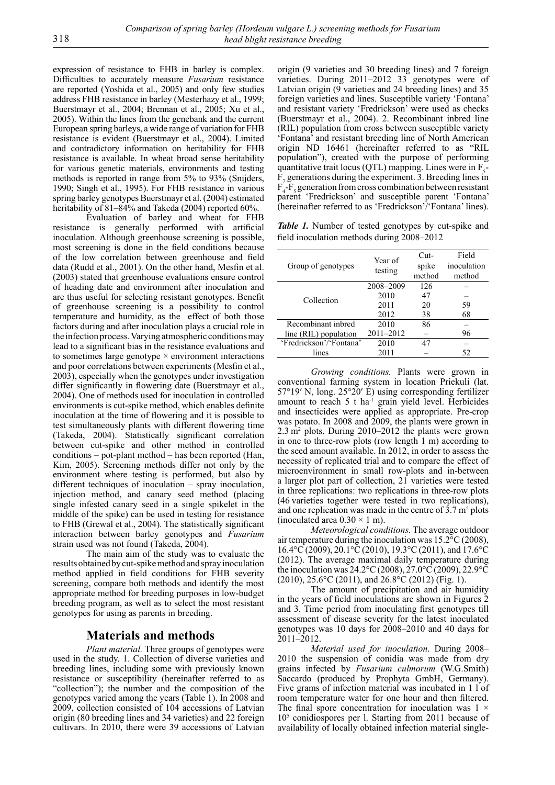expression of resistance to FHB in barley is complex. Difficulties to accurately measure *Fusarium* resistance are reported (Yoshida et al., 2005) and only few studies address FHB resistance in barley (Mesterhazy et al., 1999; Buerstmayr et al., 2004; Brennan et al., 2005; Xu et al., 2005). Within the lines from the genebank and the current European spring barleys, a wide range of variation for FHB resistance is evident (Buerstmayr et al., 2004). Limited and contradictory information on heritability for FHB resistance is available. In wheat broad sense heritability for various genetic materials, environments and testing methods is reported in range from 5% to 93% (Snijders, 1990; Singh et al., 1995). For FHB resistance in various spring barley genotypes Buerstmayr et al. (2004) estimated heritability of 81–84% and Takeda (2004) reported 60%.

Evaluation of barley and wheat for FHB resistance is generally performed with artificial inoculation. Although greenhouse screening is possible, most screening is done in the field conditions because of the low correlation between greenhouse and field data (Rudd et al., 2001). On the other hand, Mesfin et al. (2003) stated that greenhouse evaluations ensure control of heading date and environment after inoculation and are thus useful for selecting resistant genotypes. Benefit of greenhouse screening is a possibility to control temperature and humidity, as the effect of both those factors during and after inoculation plays a crucial role in the infection process. Varying atmospheric conditions may lead to a significant bias in the resistance evaluations and to sometimes large genotype  $\times$  environment interactions and poor correlations between experiments (Mesfin et al., 2003), especially when the genotypes under investigation differ significantly in flowering date (Buerstmayr et al., 2004). One of methods used for inoculation in controlled environments is cut-spike method, which enables definite inoculation at the time of flowering and it is possible to test simultaneously plants with different flowering time (Takeda, 2004). Statistically significant correlation between cut-spike and other method in controlled conditions – pot-plant method – has been reported (Han, Kim, 2005). Screening methods differ not only by the environment where testing is performed, but also by different techniques of inoculation – spray inoculation, injection method, and canary seed method (placing single infested canary seed in a single spikelet in the middle of the spike) can be used in testing for resistance to FHB (Grewal et al., 2004). The statistically significant interaction between barley genotypes and *Fusarium* strain used was not found (Takeda, 2004).

The main aim of the study was to evaluate the results obtained by cut-spike method and spray inoculation method applied in field conditions for FHB severity screening, compare both methods and identify the most appropriate method for breeding purposes in low-budget breeding program, as well as to select the most resistant genotypes for using as parents in breeding.

## **Materials and methods**

*Plant material.* Three groups of genotypes were used in the study. 1. Collection of diverse varieties and breeding lines, including some with previously known resistance or susceptibility (hereinafter referred to as "collection"); the number and the composition of the genotypes varied among the years (Table 1). In 2008 and 2009, collection consisted of 104 accessions of Latvian origin (80 breeding lines and 34 varieties) and 22 foreign cultivars. In 2010, there were 39 accessions of Latvian

origin (9 varieties and 30 breeding lines) and 7 foreign varieties. During 2011–2012 33 genotypes were of Latvian origin (9 varieties and 24 breeding lines) and 35 foreign varieties and lines. Susceptible variety 'Fontana' and resistant variety 'Fredrickson' were used as checks (Buerstmayr et al., 2004). 2. Recombinant inbred line (RIL) population from cross between susceptible variety 'Fontana' and resistant breeding line of North American origin ND 16461 (hereinafter referred to as "RIL population"), created with the purpose of performing quantitative trait locus (QTL) mapping. Lines were in  $F_5$  $F_7$  generations during the experiment. 3. Breeding lines in  $F_4$ - $F_5$  generation from cross combination between resistant parent 'Fredrickson' and susceptible parent 'Fontana' (hereinafter referred to as 'Fredrickson'/'Fontana' lines).

*Table 1.* Number of tested genotypes by cut-spike and field inoculation methods during 2008–2012

| Group of genotypes      | Year of<br>testing | $Cut-$<br>spike<br>method | Field<br>inoculation<br>method |
|-------------------------|--------------------|---------------------------|--------------------------------|
|                         | 2008-2009          | 126                       |                                |
| Collection              | 2010               | 47                        |                                |
|                         | 2011               | 20                        | 59                             |
|                         | 2012               | 38                        | 68                             |
| Recombinant inbred      | 2010               | 86                        |                                |
| line (RIL) population   | 2011-2012          |                           | 96                             |
| 'Fredrickson'/'Fontana' | 2010               | 47                        |                                |
| lines                   | 2011               |                           | 52                             |

*Growing conditions.* Plants were grown in conventional farming system in location Priekuli (lat. 57°19′ N, long. 25°20′ E) using corresponding fertilizer amount to reach  $5$  t ha<sup>-1</sup> grain yield level. Herbicides and insecticides were applied as appropriate. Pre-crop was potato. In 2008 and 2009, the plants were grown in 2.3 m2 plots. During 2010–2012 the plants were grown in one to three-row plots (row length 1 m) according to the seed amount available. In 2012, in order to assess the necessity of replicated trial and to compare the effect of microenvironment in small row-plots and in-between a larger plot part of collection, 21 varieties were tested in three replications: two replications in three-row plots (46 varieties together were tested in two replications), and one replication was made in the centre of  $3.7 \text{ m}^2$  plots (inoculated area  $0.30 \times 1$  m).

*Meteorological conditions.* The average outdoor air temperature during the inoculation was 15.2°C (2008), 16.4°C (2009), 20.1°C (2010), 19.3°C (2011), and 17.6°C (2012). The average maximal daily temperature during the inoculation was 24.2°C (2008), 27.0°C (2009), 22.9°C  $(2010)$ ,  $25.6$ °C (2011), and  $26.8$ °C (2012) (Fig. 1).

The amount of precipitation and air humidity in the years of field inoculations are shown in Figures 2 and 3. Time period from inoculating first genotypes till assessment of disease severity for the latest inoculated genotypes was 10 days for 2008–2010 and 40 days for  $2011 - 2012$ .

*Material used for inoculation*. During 2008– 2010 the suspension of conidia was made from dry grains infected by *Fusarium culmorum* (W.G.Smith) Saccardo (produced by Prophyta GmbH, Germany). Five grams of infection material was incubated in 1 l of room temperature water for one hour and then filtered. The final spore concentration for inoculation was  $1 \times$ 105 conidiospores per l. Starting from 2011 because of availability of locally obtained infection material single-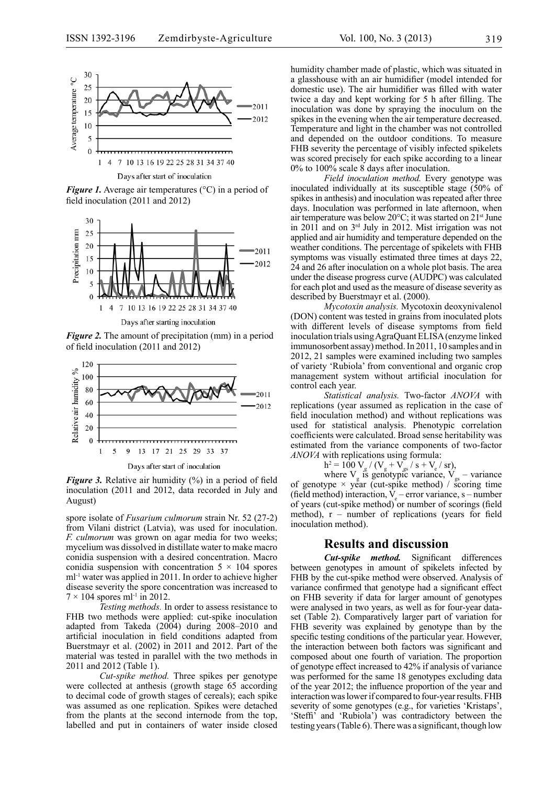

Days after start of inoculation

*Figure 1.* Average air temperatures (°C) in a period of field inoculation (2011 and 2012)



*Figure 2.* The amount of precipitation (mm) in a period of field inoculation (2011 and 2012)



Days after start of inoculation

*Figure 3.* Relative air humidity  $\frac{6}{6}$  in a period of field inoculation (2011 and 2012, data recorded in July and August)

spore isolate of *Fusarium culmorum* strain Nr. 52 (27-2) from Vilani district (Latvia), was used for inoculation. *F. culmorum* was grown on agar media for two weeks; mycelium was dissolved in distillate water to make macro conidia suspension with a desired concentration. Macro conidia suspension with concentration  $5 \times 104$  spores ml-1 water was applied in 2011. In order to achieve higher disease severity the spore concentration was increased to  $7 \times 104$  spores ml<sup>-1</sup> in 2012.

*Testing methods.* In order to assess resistance to FHB two methods were applied: cut-spike inoculation adapted from Takeda (2004) during 2008–2010 and artificial inoculation in field conditions adapted from Buerstmayr et al. (2002) in 2011 and 2012. Part of the material was tested in parallel with the two methods in 2011 and 2012 (Table 1).

*Cut-spike method.* Three spikes per genotype were collected at anthesis (growth stage 65 according to decimal code of growth stages of cereals); each spike was assumed as one replication. Spikes were detached from the plants at the second internode from the top, labelled and put in containers of water inside closed humidity chamber made of plastic, which was situated in a glasshouse with an air humidifier (model intended for domestic use). The air humidifier was filled with water twice a day and kept working for 5 h after filling. The inoculation was done by spraying the inoculum on the spikes in the evening when the air temperature decreased. Temperature and light in the chamber was not controlled and depended on the outdoor conditions. To measure FHB severity the percentage of visibly infected spikelets was scored precisely for each spike according to a linear 0% to 100% scale 8 days after inoculation.

*Field inoculation method.* Every genotype was inoculated individually at its susceptible stage (50% of spikes in anthesis) and inoculation was repeated after three days. Inoculation was performed in late afternoon, when air temperature was below 20°C; it was started on 21st June in 2011 and on 3rd July in 2012. Mist irrigation was not applied and air humidity and temperature depended on the weather conditions. The percentage of spikelets with FHB symptoms was visually estimated three times at days 22, 24 and 26 after inoculation on a whole plot basis. The area under the disease progress curve (AUDPC) was calculated for each plot and used as the measure of disease severity as described by Buerstmayr et al. (2000).

*Mycotoxin analysis.* Mycotoxin deoxynivalenol (DON) content was tested in grains from inoculated plots with different levels of disease symptoms from field inoculation trials using AgraQuant ELISA (enzyme linked immunosorbent assay) method. In 2011, 10 samples and in 2012, 21 samples were examined including two samples of variety 'Rubiola' from conventional and organic crop management system without artificial inoculation for control each year.

*Statistical analysis.* Two-factor *ANOVA* with replications (year assumed as replication in the case of field inoculation method) and without replications was used for statistical analysis. Phenotypic correlation coefficients were calculated. Broad sense heritability was estimated from the variance components of two-factor *ANOVA* with replications using formula:

$$
h^2 = 100 V_g / (V_g + V_{gs} / s + V_e / sr)
$$
,

where  $V_g$  is genotypic variance,  $V_{gs}$  – variance of genotype  $\times$  year (cut-spike method) / scoring time (field method) interaction,  $V_e$  – error variance, s – number of years (cut-spike method) or number of scorings (field method), r – number of replications (years for field inoculation method).

### **Results and discussion**

*Cut-spike method.* Significant differences between genotypes in amount of spikelets infected by FHB by the cut-spike method were observed. Analysis of variance confirmed that genotype had a significant effect on FHB severity if data for larger amount of genotypes were analysed in two years, as well as for four-year dataset (Table 2). Comparatively larger part of variation for FHB severity was explained by genotype than by the specific testing conditions of the particular year. However, the interaction between both factors was significant and composed about one fourth of variation. The proportion of genotype effect increased to 42% if analysis of variance was performed for the same 18 genotypes excluding data of the year 2012; the influence proportion of the year and interaction was lower if compared to four-year results. FHB severity of some genotypes (e.g., for varieties 'Kristaps', 'Steffi' and 'Rubiola') was contradictory between the testing years (Table 6). There was a significant, though low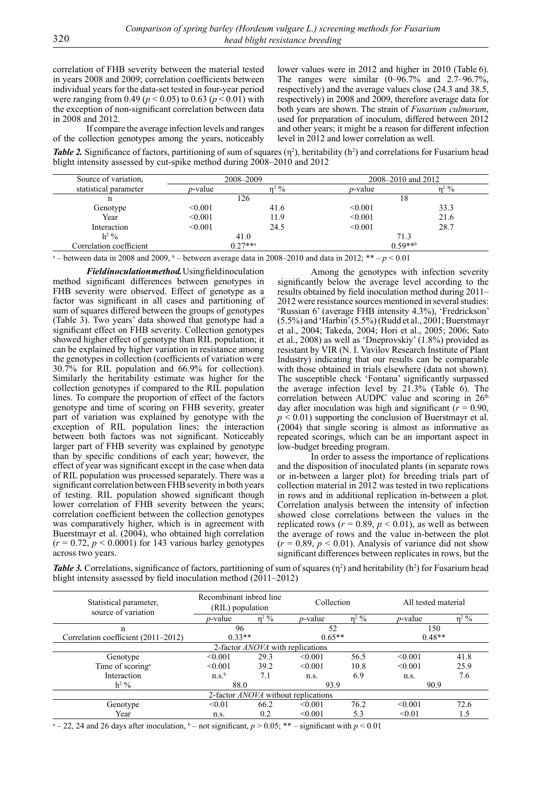correlation of FHB severity between the material tested in years 2008 and 2009; correlation coefficients between individual years for the data-set tested in four-year period were ranging from 0.49 ( $p < 0.05$ ) to 0.63 ( $p < 0.01$ ) with the exception of non-significant correlation between data in 2008 and 2012.

If compare the average infection levels and ranges of the collection genotypes among the years, noticeably

lower values were in 2012 and higher in 2010 (Table 6). The ranges were similar  $(0-96.7\%$  and  $2.7-96.7\%$ , respectively) and the average values close (24.3 and 38.5, respectively) in 2008 and 2009, therefore average data for both years are shown. The strain of *Fusarium culmorum*, used for preparation of inoculum, differed between 2012 and other years; it might be a reason for different infection level in 2012 and lower correlation as well.

**Table 2.** Significance of factors, partitioning of sum of squares  $(\eta^2)$ , heritability  $(h^2)$  and correlations for Fusarium head blight intensity assessed by cut-spike method during 2008–2010 and 2012

| Source of variation,    |                 | 2008-2009 | 2008–2010 and 2012 |         |
|-------------------------|-----------------|-----------|--------------------|---------|
| statistical parameter   | <i>p</i> -value | $n^2$ %   | <i>p</i> -value    | $n^2$ % |
| n                       |                 | 126       | 18                 |         |
| Genotype                | < 0.001         | 41.6      | < 0.001            | 33.3    |
| Year                    | < 0.001         | 11.9      | < 0.001            | 21.6    |
| Interaction             | < 0.001         | 24.5      | < 0.001            | 28.7    |
| $h^2$ %                 | 41.0            |           | 71.3               |         |
| Correlation coefficient |                 | $0.27***$ | $0.59***$          |         |

<sup>a</sup> – between data in 2008 and 2009, <sup>b</sup> – between average data in 2008–2010 and data in 2012;  $** - p < 0.01$ 

*Field inoculation method.* Using field inoculation method significant differences between genotypes in FHB severity were observed. Effect of genotype as a factor was significant in all cases and partitioning of sum of squares differed between the groups of genotypes (Table 3). Two years' data showed that genotype had a significant effect on FHB severity. Collection genotypes showed higher effect of genotype than RIL population; it can be explained by higher variation in resistance among the genotypes in collection (coefficients of variation were 30.7% for RIL population and 66.9% for collection). Similarly the heritability estimate was higher for the collection genotypes if compared to the RIL population lines. To compare the proportion of effect of the factors genotype and time of scoring on FHB severity, greater part of variation was explained by genotype with the exception of RIL population lines; the interaction between both factors was not significant. Noticeably larger part of FHB severity was explained by genotype than by specific conditions of each year; however, the effect of year was significant except in the case when data of RIL population was processed separately. There was a significant correlation between FHB severity in both years of testing. RIL population showed significant though lower correlation of FHB severity between the years; correlation coefficient between the collection genotypes was comparatively higher, which is in agreement with Buerstmayr et al. (2004), who obtained high correlation  $(r = 0.72, p < 0.0001)$  for 143 various barley genotypes across two years.

Among the genotypes with infection severity significantly below the average level according to the results obtained by field inoculation method during 2011– 2012 were resistance sources mentioned in several studies: 'Russian 6' (average FHB intensity 4.3%), 'Fredrickson' (5.5%) and 'Harbin' (5.5%) (Rudd et al., 2001; Buerstmayr et al., 2004; Takeda, 2004; Hori et al., 2005; 2006; Sato et al., 2008) as well as 'Dneprovskiy' (1.8%) provided as resistant by VIR (N. I. Vavilov Research Institute of Plant Industry) indicating that our results can be comparable with those obtained in trials elsewhere (data not shown). The susceptible check 'Fontana' significantly surpassed the average infection level by 21.3% (Table 6). The correlation between AUDPC value and scoring in 26<sup>th</sup> day after inoculation was high and significant ( $\bar{r}$  = 0.90, *p* < 0.01) supporting the conclusion of Buerstmayr et al. (2004) that single scoring is almost as informative as repeated scorings, which can be an important aspect in low-budget breeding program.

In order to assess the importance of replications and the disposition of inoculated plants (in separate rows or in-between a larger plot) for breeding trials part of collection material in 2012 was tested in two replications in rows and in additional replication in-between a plot. Correlation analysis between the intensity of infection showed close correlations between the values in the replicated rows ( $r = 0.89$ ,  $p < 0.01$ ), as well as between the average of rows and the value in-between the plot  $(r = 0.89, p < 0.01)$ . Analysis of variance did not show significant differences between replicates in rows, but the

**Table 3.** Correlations, significance of factors, partitioning of sum of squares  $(\eta^2)$  and heritability  $(h^2)$  for Fusarium head blight intensity assessed by field inoculation method (2011–2012)

| Statistical parameter,<br>source of variation | Recombinant inbred line<br>(RIL) population |         |                 | Collection<br>All tested material |                 |         |  |  |
|-----------------------------------------------|---------------------------------------------|---------|-----------------|-----------------------------------|-----------------|---------|--|--|
|                                               | <i>p</i> -value                             | $n^2 %$ | <i>p</i> -value | $\eta^2$ %                        | <i>p</i> -value | $n^2$ % |  |  |
| n                                             | 96                                          |         | 52              |                                   | 150             |         |  |  |
| Correlation coefficient (2011–2012)           | $0.33**$                                    |         | $0.65**$        |                                   | $0.48**$        |         |  |  |
| 2-factor <i>ANOVA</i> with replications       |                                             |         |                 |                                   |                 |         |  |  |
| Genotype                                      | < 0.001                                     | 29.3    | < 0.001         | 56.5                              | < 0.001         | 41.8    |  |  |
| Time of scoring <sup>a</sup>                  | < 0.001                                     | 39.2    | < 0.001         | 10.8                              | < 0.001         | 25.9    |  |  |
| Interaction                                   | n.s. <sup>b</sup>                           | 7.1     | n.s.            | 6.9                               | n.S.            | 7.6     |  |  |
| $h^2$ %                                       | 88.0                                        |         | 93.9            |                                   | 90.9            |         |  |  |
| 2-factor <i>ANOVA</i> without replications    |                                             |         |                 |                                   |                 |         |  |  |
| Genotype                                      | < 0.01                                      | 66.2    | < 0.001         | 76.2                              | < 0.001         | 72.6    |  |  |
| Year                                          | n.s.                                        | 0.2     | < 0.001         | 5.3                               | < 0.01          | 1.5     |  |  |

 $a - 22$ , 24 and 26 days after inoculation,  $b -$  not significant,  $p > 0.05$ ; \*\* – significant with  $p < 0.01$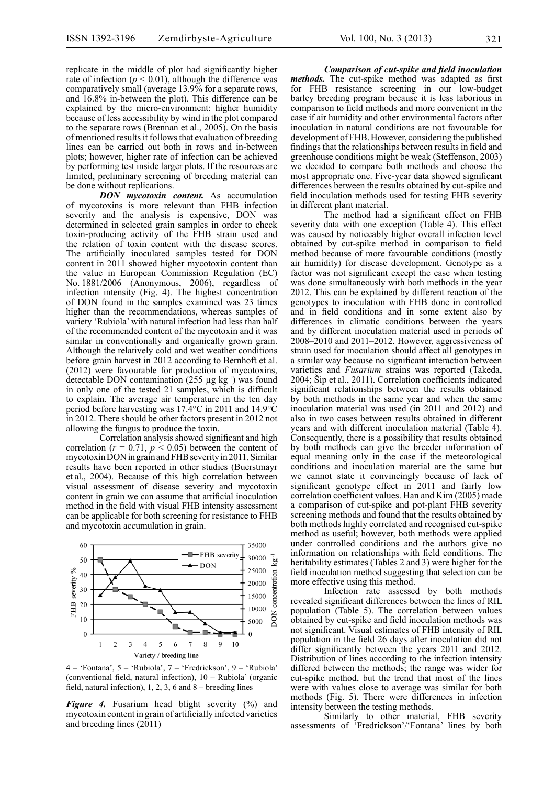replicate in the middle of plot had significantly higher rate of infection  $(p < 0.01)$ , although the difference was comparatively small (average 13.9% for a separate rows, and 16.8% in-between the plot). This difference can be explained by the micro-environment: higher humidity because of less accessibility by wind in the plot compared to the separate rows (Brennan et al., 2005). On the basis of mentioned results it follows that evaluation of breeding lines can be carried out both in rows and in-between plots; however, higher rate of infection can be achieved by performing test inside larger plots. If the resources are limited, preliminary screening of breeding material can be done without replications. *DON mycotoxin content.* As accumulation

of mycotoxins is more relevant than FHB infection severity and the analysis is expensive, DON was determined in selected grain samples in order to check toxin-producing activity of the FHB strain used and the relation of toxin content with the disease scores. The artificially inoculated samples tested for DON content in 2011 showed higher mycotoxin content than the value in European Commission Regulation (EC) No. 1881/2006 (Anonymous, 2006), regardless of infection intensity (Fig. 4). The highest concentration of DON found in the samples examined was 23 times higher than the recommendations, whereas samples of variety 'Rubiola' with natural infection had less than half of the recommended content of the mycotoxin and it was similar in conventionally and organically grown grain. Although the relatively cold and wet weather conditions before grain harvest in 2012 according to Bernhoft et al. (2012) were favourable for production of mycotoxins, detectable DON contamination (255  $\mu$ g kg<sup>-1</sup>) was found in only one of the tested 21 samples, which is difficult to explain. The average air temperature in the ten day period before harvesting was 17.4°C in 2011 and 14.9°C in 2012. There should be other factors present in 2012 not allowing the fungus to produce the toxin.

Correlation analysis showed significant and high correlation  $(r = 0.71, p < 0.05)$  between the content of mycotoxin DON in grain and FHB severity in 2011. Similar results have been reported in other studies (Buerstmayr et al., 2004). Because of this high correlation between visual assessment of disease severity and mycotoxin content in grain we can assume that artificial inoculation method in the field with visual FHB intensity assessment can be applicable for both screening for resistance to FHB and mycotoxin accumulation in grain.



4 – 'Fontana', 5 – 'Rubiola', 7 – 'Fredrickson', 9 – 'Rubiola' (conventional field, natural infection), 10 – Rubiola' (organic field, natural infection),  $1, 2, 3, 6$  and  $8$  – breeding lines

*Figure 4.* Fusarium head blight severity (%) and mycotoxin content in grain of artificially infected varieties and breeding lines (2011)

*Comparison of cut-spike and field inoculation methods.* The cut-spike method was adapted as first for FHB resistance screening in our low-budget barley breeding program because it is less laborious in comparison to field methods and more convenient in the case if air humidity and other environmental factors after inoculation in natural conditions are not favourable for development of FHB. However, considering the published findings that the relationships between results in field and greenhouse conditions might be weak (Steffenson, 2003) we decided to compare both methods and choose the most appropriate one. Five-year data showed significant differences between the results obtained by cut-spike and field inoculation methods used for testing FHB severity in different plant material.

The method had a significant effect on FHB severity data with one exception (Table 4). This effect was caused by noticeably higher overall infection level obtained by cut-spike method in comparison to field method because of more favourable conditions (mostly air humidity) for disease development. Genotype as a factor was not significant except the case when testing was done simultaneously with both methods in the year 2012. This can be explained by different reaction of the genotypes to inoculation with FHB done in controlled and in field conditions and in some extent also by differences in climatic conditions between the years and by different inoculation material used in periods of 2008–2010 and 2011–2012. However, aggressiveness of strain used for inoculation should affect all genotypes in a similar way because no significant interaction between varieties and *Fusarium* strains was reported (Takeda, 2004; Šip et al., 2011). Correlation coefficients indicated significant relationships between the results obtained by both methods in the same year and when the same inoculation material was used (in 2011 and 2012) and also in two cases between results obtained in different years and with different inoculation material (Table 4). Consequently, there is a possibility that results obtained by both methods can give the breeder information of equal meaning only in the case if the meteorological conditions and inoculation material are the same but we cannot state it convincingly because of lack of significant genotype effect in 2011 and fairly low correlation coefficient values. Han and Kim (2005) made a comparison of cut-spike and pot-plant FHB severity screening methods and found that the results obtained by both methods highly correlated and recognised cut-spike method as useful; however, both methods were applied under controlled conditions and the authors give no information on relationships with field conditions. The heritability estimates (Tables 2 and 3) were higher for the field inoculation method suggesting that selection can be more effective using this method.

Infection rate assessed by both methods revealed significant differences between the lines of RIL population (Table 5). The correlation between values obtained by cut-spike and field inoculation methods was not significant. Visual estimates of FHB intensity of RIL population in the field 26 days after inoculation did not differ significantly between the years 2011 and 2012. Distribution of lines according to the infection intensity differed between the methods; the range was wider for cut-spike method, but the trend that most of the lines were with values close to average was similar for both methods (Fig. 5). There were differences in infection intensity between the testing methods.

Similarly to other material, FHB severity assessments of 'Fredrickson'/'Fontana' lines by both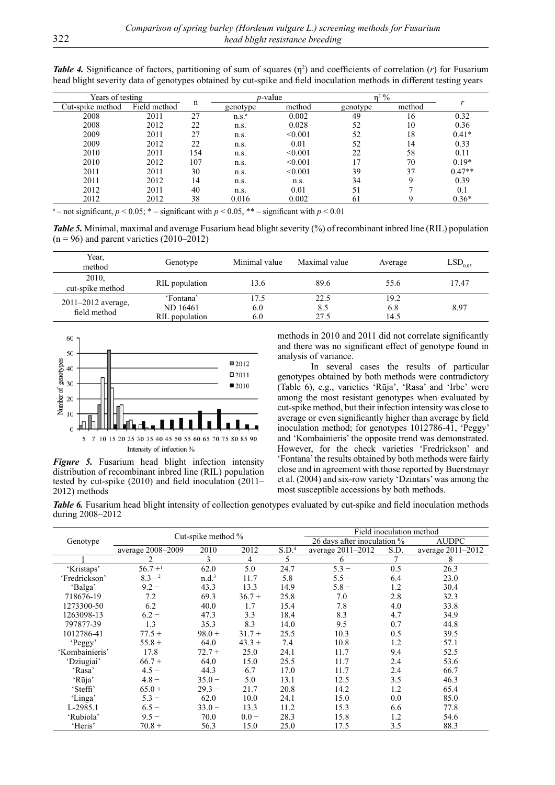| Years of testing |              |     | $p$ -value        |         | $n^2$ %  |        |          |
|------------------|--------------|-----|-------------------|---------|----------|--------|----------|
| Cut-spike method | Field method | n   | genotype          | method  | genotype | method |          |
| 2008             | 2011         | 27  | n.S. <sup>a</sup> | 0.002   | 49       | 16     | 0.32     |
| 2008             | 2012         | 22  | n.s.              | 0.028   | 52       | 10     | 0.36     |
| 2009             | 2011         | 27  | n.s.              | < 0.001 | 52       | 18     | $0.41*$  |
| 2009             | 2012         | 22  | n.s.              | 0.01    | 52       | 14     | 0.33     |
| 2010             | 2011         | 154 | n.s.              | < 0.001 | 22       | 58     | 0.11     |
| 2010             | 2012         | 107 | n.s.              | < 0.001 | 17       | 70     | $0.19*$  |
| 2011             | 2011         | 30  | n.s.              | < 0.001 | 39       | 37     | $0.47**$ |
| 2011             | 2012         | 14  | n.s.              | n.s.    | 34       | Q      | 0.39     |
| 2012             | 2011         | 40  | n.s.              | 0.01    | 51       |        | 0.1      |
| 2012             | 2012         | 38  | 0.016             | 0.002   | 61       |        | $0.36*$  |

**Table 4.** Significance of factors, partitioning of sum of squares  $(\eta^2)$  and coefficients of correlation  $(r)$  for Fusarium head blight severity data of genotypes obtained by cut-spike and field inoculation methods in different testing years

<sup>a</sup> – not significant,  $p < 0.05$ ;  $\ast$  – significant with  $p < 0.05$ ,  $\ast$  – significant with  $p < 0.01$ 

*Table 5.* Minimal, maximal and average Fusarium head blight severity (%) of recombinant inbred line (RIL) population  $(n = 96)$  and parent varieties  $(2010-2012)$ 

| Year,<br>method                        | Genotype                                | Minimal value      | Maximal value       | Average             | $\mathrm{LSD}_{_{0.05}}$ |
|----------------------------------------|-----------------------------------------|--------------------|---------------------|---------------------|--------------------------|
| 2010.<br>cut-spike method              | RIL population                          | 13.6               | 89.6                | 55.6                | 17.47                    |
| $2011 - 2012$ average,<br>field method | 'Fontana'<br>ND 16461<br>RIL population | 17.5<br>6.0<br>6.0 | 22.5<br>8.5<br>27.5 | 19.2<br>6.8<br>14.5 | 8.97                     |



*Figure 5.* Fusarium head blight infection intensity distribution of recombinant inbred line (RIL) population tested by cut-spike (2010) and field inoculation (2011– 2012) methods

methods in 2010 and 2011 did not correlate significantly and there was no significant effect of genotype found in analysis of variance.

In several cases the results of particular genotypes obtained by both methods were contradictory (Table 6), e.g., varieties 'Rūja', 'Rasa' and 'Irbe' were among the most resistant genotypes when evaluated by cut-spike method, but their infection intensity was close to average or even significantly higher than average by field inoculation method; for genotypes 1012786-41, 'Peggy' and 'Kombainieris' the opposite trend was demonstrated. However, for the check varieties 'Fredrickson' and 'Fontana' the results obtained by both methods were fairly close and in agreement with those reported by Buerstmayr et al. (2004) and six-row variety 'Dzintars' was among the most susceptible accessions by both methods.

*Table 6.* Fusarium head blight intensity of collection genotypes evaluated by cut-spike and field inoculation methods during 2008–2012

|                |                       |                    | Field inoculation method |                   |                             |              |                   |
|----------------|-----------------------|--------------------|--------------------------|-------------------|-----------------------------|--------------|-------------------|
| Genotype       |                       | Cut-spike method % |                          |                   | 26 days after inoculation % | <b>AUDPC</b> |                   |
|                | average 2008-2009     | 2010               | 2012                     | S.D. <sup>4</sup> | average 2011-2012           | S.D.         | average 2011-2012 |
|                | 2                     | 3                  | 4                        | 5                 | 6                           |              | 8                 |
| 'Kristaps'     | $56.7 +$ <sup>1</sup> | 62.0               | 5.0                      | 24.7              | $5.3 -$                     | 0.5          | 26.3              |
| 'Fredrickson'  | $8.3 -2$              | n.d. <sup>3</sup>  | 11.7                     | 5.8               | $5.5 -$                     | 6.4          | 23.0              |
| 'Balga'        | $9.2 -$               | 43.3               | 13.3                     | 14.9              | $5.8 -$                     | 1.2          | 30.4              |
| 718676-19      | 7.2                   | 69.3               | $36.7 +$                 | 25.8              | 7.0                         | 2.8          | 32.3              |
| 1273300-50     | 6.2                   | 40.0               | 1.7                      | 15.4              | 7.8                         | 4.0          | 33.8              |
| 1263098-13     | $6.2 -$               | 47.3               | 3.3                      | 18.4              | 8.3                         | 4.7          | 34.9              |
| 797877-39      | 1.3                   | 35.3               | 8.3                      | 14.0              | 9.5                         | 0.7          | 44.8              |
| 1012786-41     | $77.5+$               | $98.0 +$           | $31.7 +$                 | 25.5              | 10.3                        | 0.5          | 39.5              |
| 'Peggy'        | $55.8 +$              | 64.0               | $43.3 +$                 | 7.4               | 10.8                        | 1.2          | 57.1              |
| 'Kombainieris' | 17.8                  | $72.7 +$           | 25.0                     | 24.1              | 11.7                        | 9.4          | 52.5              |
| 'Dziugiai'     | $66.7 +$              | 64.0               | 15.0                     | 25.5              | 11.7                        | 2.4          | 53.6              |
| 'Rasa'         | $4.5 -$               | 44.3               | 6.7                      | 17.0              | 11.7                        | 2.4          | 66.7              |
| 'Rūja'         | $4.8 -$               | $35.0 -$           | 5.0                      | 13.1              | 12.5                        | 3.5          | 46.3              |
| 'Steffi'       | $65.0 +$              | $29.3 -$           | 21.7                     | 20.8              | 14.2                        | 1.2          | 65.4              |
| 'Linga'        | $5.3 -$               | 62.0               | 10.0                     | 24.1              | 15.0                        | 0.0          | 85.0              |
| L-2985.1       | $6.5 -$               | $33.0 -$           | 13.3                     | 11.2              | 15.3                        | 6.6          | 77.8              |
| 'Rubiola'      | $9.5 -$               | 70.0               | $0.0 -$                  | 28.3              | 15.8                        | 1.2          | 54.6              |
| 'Heris'        | $70.8 +$              | 56.3               | 15.0                     | 25.0              | 17.5                        | 3.5          | 88.3              |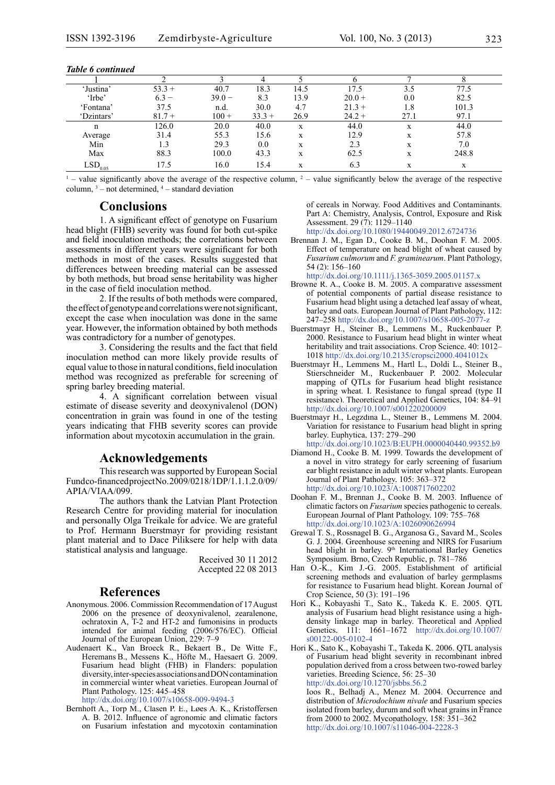| 'Justina'             | $53.3 +$ | 40.7     | 18.3     | 14.5 | 17.5     | 3.5  | 77.5  |
|-----------------------|----------|----------|----------|------|----------|------|-------|
| 'Irbe'                | $6.3 -$  | $39.0 -$ | 8.3      | 13.9 | $20.0 +$ | 0.0  | 82.5  |
| 'Fontana'             | 37.5     | n.d.     | 30.0     | 4.7  | $21.3 +$ | 1.8  | 101.3 |
| 'Dzintars'            | $81.7 +$ | $100 +$  | $33.3 +$ | 26.9 | $24.2 +$ | 27.1 | 97.1  |
| n                     | 126.0    | 20.0     | 40.0     | X    | 44.0     | X    | 44.0  |
| Average               | 31.4     | 55.3     | 15.6     | X    | 12.9     | X    | 57.8  |
| Min                   |          | 29.3     | 0.0      | X    | 2.3      | X    | 7.0   |
| Max                   | 88.3     | 100.0    | 43.3     | X    | 62.5     | X    | 248.8 |
| $LSD$ <sub>0.05</sub> | 17.5     | 16.0     | 15.4     |      | 6.3      |      | X     |

#### *Table 6 continued*

 $\frac{1}{2}$  – value significantly above the average of the respective column,  $\frac{2}{2}$  – value significantly below the average of the respective column,  $3$  – not determined,  $4$  – standard deviation

#### **Conclusions**

1. A significant effect of genotype on Fusarium head blight (FHB) severity was found for both cut-spike and field inoculation methods; the correlations between assessments in different years were significant for both methods in most of the cases. Results suggested that differences between breeding material can be assessed by both methods, but broad sense heritability was higher in the case of field inoculation method.

2. If the results of both methods were compared, the effect of genotype and correlations were not significant, except the case when inoculation was done in the same year. However, the information obtained by both methods was contradictory for a number of genotypes.

3. Considering the results and the fact that field inoculation method can more likely provide results of equal value to those in natural conditions, field inoculation method was recognized as preferable for screening of spring barley breeding material.

4. A significant correlation between visual estimate of disease severity and deoxynivalenol (DON) concentration in grain was found in one of the testing years indicating that FHB severity scores can provide information about mycotoxin accumulation in the grain.

#### **Acknowledgements**

This research was supported by European Social Fund co-financed project No. 2009/0218/1DP/1.1.1.2.0/09/ APIA/VIAA/099.

The authors thank the Latvian Plant Protection Research Centre for providing material for inoculation and personally Olga Treikale for advice. We are grateful to Prof. Hermann Buerstmayr for providing resistant plant material and to Dace Piliksere for help with data statistical analysis and language.

> Received 30 11 2012 Accepted 22 08 2013

#### **References**

- Anonymous. 2006. Commission Recommendation of 17 August 2006 on the presence of deoxynivalenol, zearalenone, ochratoxin A, T-2 and HT-2 and fumonisins in products intended for animal feeding (2006/576/EC). Official Journal of the European Union, 229: 7–9
- Audenaert K., Van Broeck R., Bekaert B., De Witte F., Heremans B., Messens K., Höfte M., Haesaert G. 2009. Fusarium head blight (FHB) in Flanders: population diversity, inter-species associations and DON contamination in commercial winter wheat varieties. European Journal of Plant Pathology, 125: 445–458

[http://dx.doi.org/10.1007/s10658-009-9494-](http://dx.doi.org/10.1007/s10658-009-9494-3)3

Bernhoft A., Torp M., Clasen P. E., Løes A. K., Kristoffersen A. B. 2012. Influence of agronomic and climatic factors on Fusarium infestation and mycotoxin contamination

of cereals in Norway. Food Additives and Contaminants. Part A: Chemistry, Analysis, Control, Exposure and Risk Assessment, 29 (7): 1129–1140 [http://dx.doi.org/10.1080/19440049.2012.672473](http://dx.doi.org/10.1080/19440049.2012.6724736)6

- Brennan J. M., Egan D., Cooke B. M., Doohan F. M. 2005. Effect of temperature on head blight of wheat caused by *Fusarium culmorum* and *F. graminearum*. Plant Pathology, 54 (2): 156*–*160 <http://dx.doi.org/10.1111/j.1365-3059.2005.01157.x>
- Browne R. A., Cooke B. M. 2005. A comparative assessment of potential components of partial disease resistance to Fusarium head blight using a detached leaf assay of wheat, barley and oats. European Journal of Plant Pathology, 112: 247–258 [http://dx.doi.org/10.1007/s10658-005-2077-](http://dx.doi.org/10.1007/s10658-005-2077-z)z
- Buerstmayr H., Steiner B., Lemmens M., Ruckenbauer P. 2000. Resistance to Fusarium head blight in winter wheat heritability and trait associations. Crop Science, 40: 1012– 1018 <http://dx.doi.org/10.2135/cropsci2000.4041012x>
- Buerstmayr H., Lemmens M., Hartl L., Doldi L., Steiner B., Stierschneider M., Ruckenbauer P. 2002. Molecular mapping of QTLs for Fusarium head blight resistance in spring wheat. I. Resistance to fungal spread (type II resistance). Theoretical and Applied Genetics, 104: 84–91 [http://dx.doi.org/10.1007/s00122020000](http://dx.doi.org/10.1007/s001220200009)9
- Buerstmayr H., Legzdina L., Steiner B., Lemmens M. 2004. Variation for resistance to Fusarium head blight in spring barley. Euphytica, 137: 279–290 [http://dx.doi.org/10.1023/B:EUPH.0000040440.99352.b](http://dx.doi.org/10.1023/B:EUPH.0000040440.99352.b9)9
- Diamond H., Cooke B. M. 1999. Towards the development of a novel in vitro strategy for early screening of fusarium ear blight resistance in adult winter wheat plants. European Journal of Plant Pathology, 105: 363–372 [http://dx.doi.org/10.1023/A:100871760220](http://dx.doi.org/10.1023/A:1008717602202)2
- Doohan F. M., Brennan J., Cooke B. M. 2003. Influence of climatic factors on *Fusarium* species pathogenic to cereals. European Journal of Plant Pathology, 109: 755–768 [http://dx.doi.org/10.1023/A:102609062699](http://dx.doi.org/10.1023/A:1026090626994)4
- Grewal T. S., Rossnagel B. G., Arganosa G., Savard M., Scoles G. J. 2004. Greenhouse screening and NIRS for Fusarium head blight in barley. 9<sup>th</sup> International Barley Genetics Symposium. Brno, Czech Republic, p. 781–786
- Han O.-K., Kim J.-G. 2005. Establishment of artificial screening methods and evaluation of barley germplasms for resistance to Fusarium head blight. Korean Journal of Crop Science, 50 (3): 191–196
- Hori K., Kobayashi T., Sato K., Takeda K. E. 2005. QTL analysis of Fusarium head blight resistance using a highdensity linkage map in barley. Theoretical and Applied Genetics, 111: 1661–1672 [http://dx.doi.org/10.1007/](http://dx.doi.org/10.1007/s00122-005-0102-4) [s00122-005-0102-4](http://dx.doi.org/10.1007/s00122-005-0102-4)
- Hori K., Sato K., Kobayashi T., Takeda K. 2006. QTL analysis of Fusarium head blight severity in recombinant inbred population derived from a cross between two-rowed barley varieties. Breeding Science, 56: 25–30 [http://dx.doi.org/10.1270/jsbbs.56.](http://dx.doi.org/10.1270/jsbbs.56.2)2 Ioos R., Belhadj A., Menez M. 2004. Occurrence and

distribution of *Microdochium nivale* and Fusarium species isolated from barley, durum and soft wheat grains in France from 2000 to 2002. Mycopathology, 158: 351–362 [http://dx.doi.org/10.1007/s11046-004-2228-](http://dx.doi.org/10.1007/s11046-004-2228-3)3